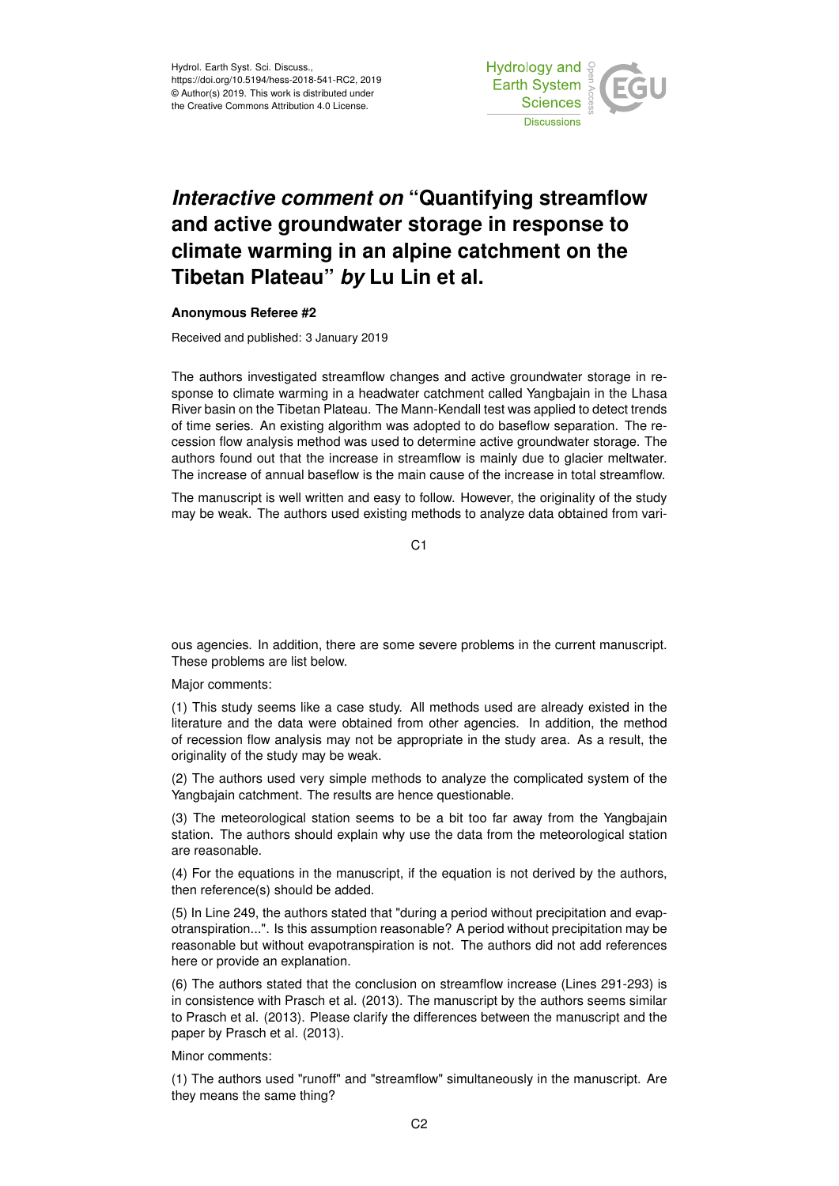

## *Interactive comment on* **"Quantifying streamflow and active groundwater storage in response to climate warming in an alpine catchment on the Tibetan Plateau"** *by* **Lu Lin et al.**

## **Anonymous Referee #2**

Received and published: 3 January 2019

The authors investigated streamflow changes and active groundwater storage in response to climate warming in a headwater catchment called Yangbajain in the Lhasa River basin on the Tibetan Plateau. The Mann-Kendall test was applied to detect trends of time series. An existing algorithm was adopted to do baseflow separation. The recession flow analysis method was used to determine active groundwater storage. The authors found out that the increase in streamflow is mainly due to glacier meltwater. The increase of annual baseflow is the main cause of the increase in total streamflow.

The manuscript is well written and easy to follow. However, the originality of the study may be weak. The authors used existing methods to analyze data obtained from vari-

 $C<sub>1</sub>$ 

ous agencies. In addition, there are some severe problems in the current manuscript. These problems are list below.

Major comments:

(1) This study seems like a case study. All methods used are already existed in the literature and the data were obtained from other agencies. In addition, the method of recession flow analysis may not be appropriate in the study area. As a result, the originality of the study may be weak.

(2) The authors used very simple methods to analyze the complicated system of the Yangbajain catchment. The results are hence questionable.

(3) The meteorological station seems to be a bit too far away from the Yangbajain station. The authors should explain why use the data from the meteorological station are reasonable.

(4) For the equations in the manuscript, if the equation is not derived by the authors, then reference(s) should be added.

(5) In Line 249, the authors stated that "during a period without precipitation and evapotranspiration...". Is this assumption reasonable? A period without precipitation may be reasonable but without evapotranspiration is not. The authors did not add references here or provide an explanation.

(6) The authors stated that the conclusion on streamflow increase (Lines 291-293) is in consistence with Prasch et al. (2013). The manuscript by the authors seems similar to Prasch et al. (2013). Please clarify the differences between the manuscript and the paper by Prasch et al. (2013).

Minor comments:

(1) The authors used "runoff" and "streamflow" simultaneously in the manuscript. Are they means the same thing?